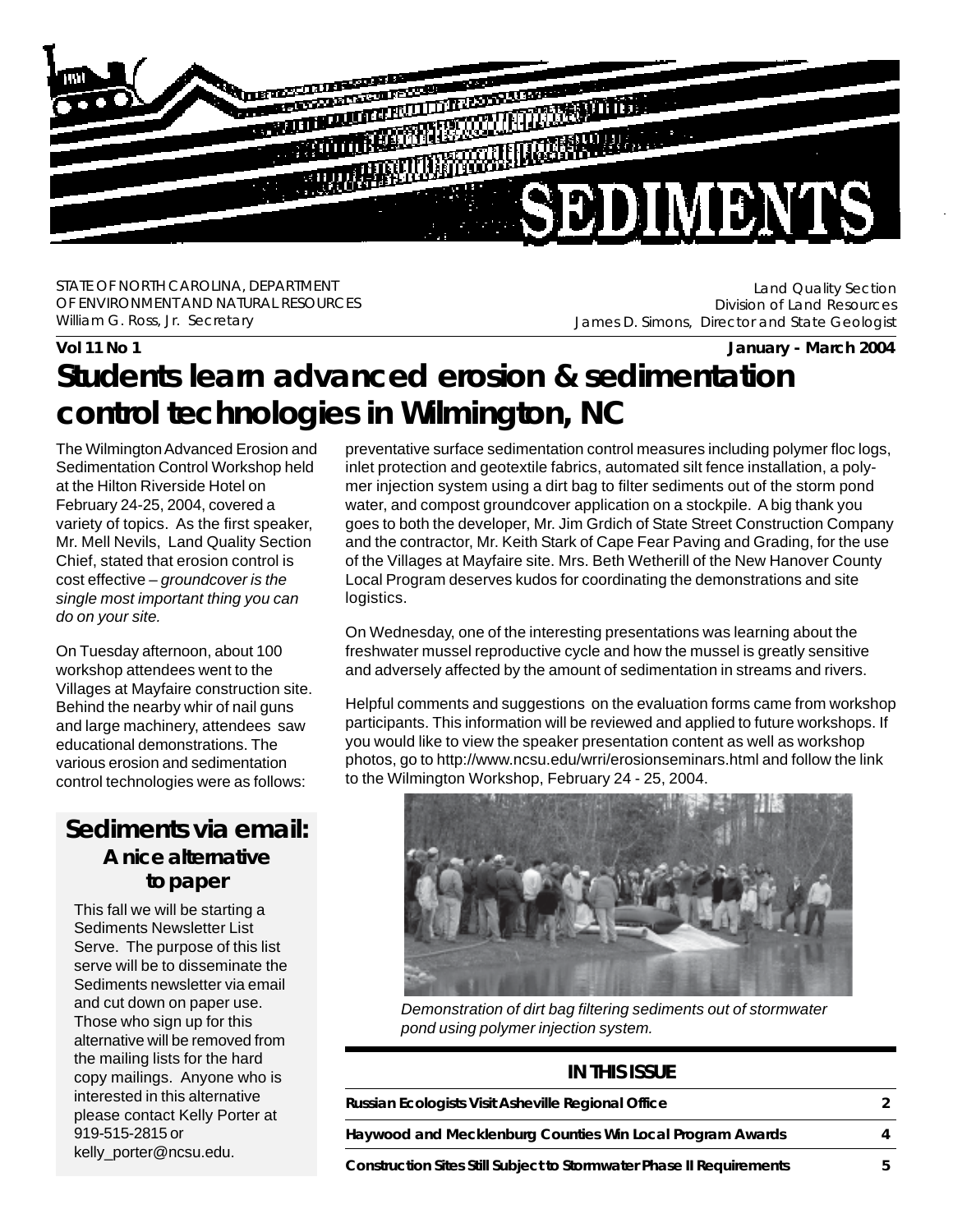

STATE OF NORTH CAROLINA, DEPARTMENT OF ENVIRONMENT AND NATURAL RESOURCES William G. Ross, Jr. Secretary

Land Quality Section Division of Land Resources James D. Simons, Director and State Geologist

#### **Vol 11 No 1 January - March 2004**

# **Students learn advanced erosion & sedimentation control technologies in Wilmington, NC**

The Wilmington Advanced Erosion and Sedimentation Control Workshop held at the Hilton Riverside Hotel on February 24-25, 2004, covered a variety of topics. As the first speaker, Mr. Mell Nevils, Land Quality Section Chief, stated that erosion control is cost effective – *groundcover is the single most important thing you can do on your site.*

On Tuesday afternoon, about 100 workshop attendees went to the Villages at Mayfaire construction site. Behind the nearby whir of nail guns and large machinery, attendees saw educational demonstrations. The various erosion and sedimentation control technologies were as follows:

## *Sediments* **via email: A nice alternative to paper**

This fall we will be starting a Sediments Newsletter List Serve. The purpose of this list serve will be to disseminate the Sediments newsletter via email and cut down on paper use. Those who sign up for this alternative will be removed from the mailing lists for the hard copy mailings. Anyone who is interested in this alternative please contact Kelly Porter at 919-515-2815 or kelly\_porter@ncsu.edu.

preventative surface sedimentation control measures including polymer floc logs, inlet protection and geotextile fabrics, automated silt fence installation, a polymer injection system using a dirt bag to filter sediments out of the storm pond water, and compost groundcover application on a stockpile. A big thank you goes to both the developer, Mr. Jim Grdich of State Street Construction Company and the contractor, Mr. Keith Stark of Cape Fear Paving and Grading, for the use of the Villages at Mayfaire site. Mrs. Beth Wetherill of the New Hanover County Local Program deserves kudos for coordinating the demonstrations and site logistics.

On Wednesday, one of the interesting presentations was learning about the freshwater mussel reproductive cycle and how the mussel is greatly sensitive and adversely affected by the amount of sedimentation in streams and rivers.

Helpful comments and suggestions on the evaluation forms came from workshop participants. This information will be reviewed and applied to future workshops. If you would like to view the speaker presentation content as well as workshop photos, go to http://www.ncsu.edu/wrri/erosionseminars.html and follow the link to the Wilmington Workshop, February 24 - 25, 2004.



*Demonstration of dirt bag filtering sediments out of stormwater pond using polymer injection system.*

#### **IN THIS ISSUE**

| Russian Ecologists Visit Asheville Regional Office                          |  |
|-----------------------------------------------------------------------------|--|
| Haywood and Mecklenburg Counties Win Local Program Awards                   |  |
| <b>Construction Sites Still Subject to Stormwater Phase II Requirements</b> |  |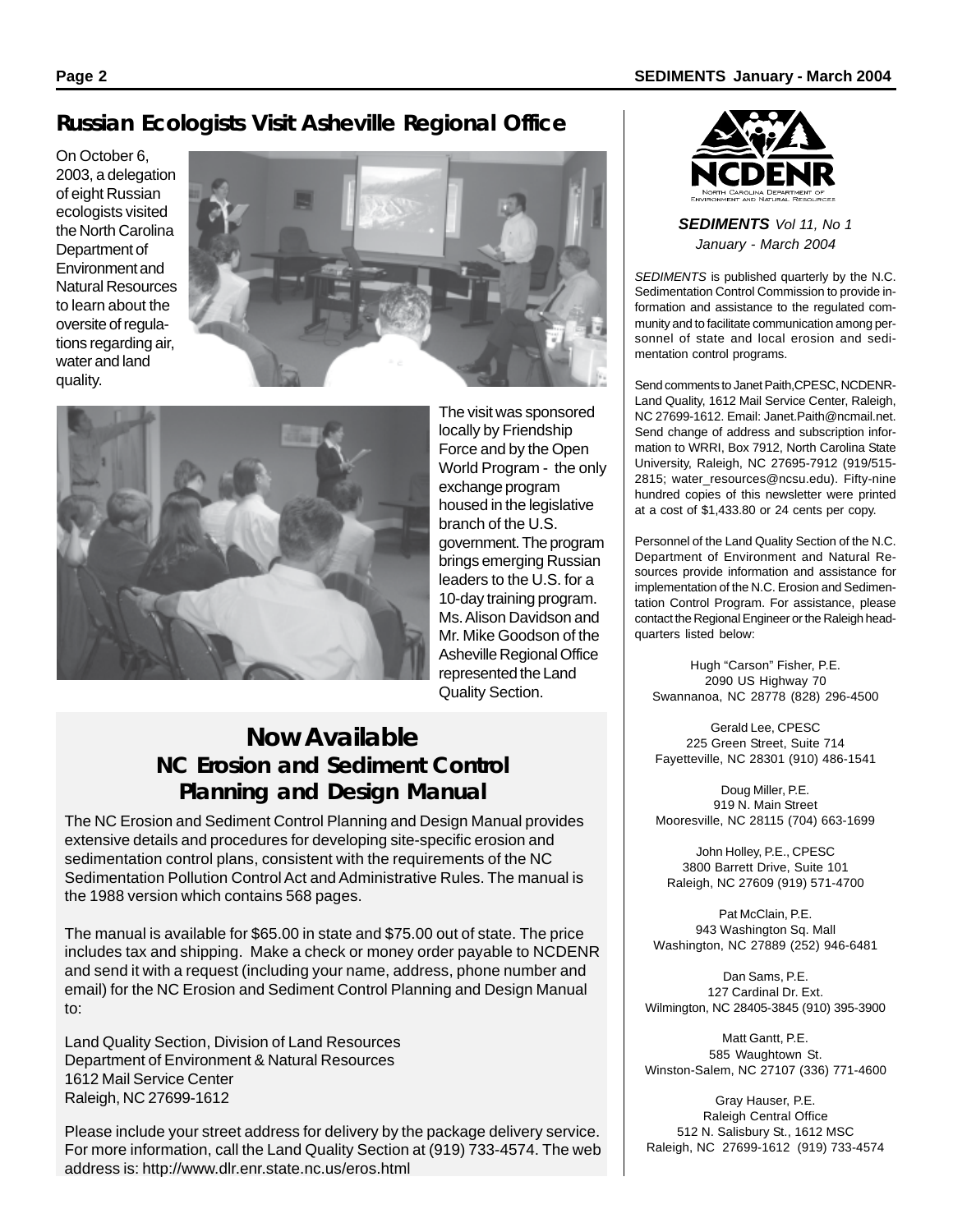## **Russian Ecologists Visit Asheville Regional Office**

On October 6, 2003, a delegation of eight Russian ecologists visited the North Carolina Department of Environment and Natural Resources to learn about the oversite of regulations regarding air, water and land quality.





The visit was sponsored locally by Friendship Force and by the Open World Program - the only exchange program housed in the legislative branch of the U.S. government. The program brings emerging Russian leaders to the U.S. for a 10-day training program. Ms. Alison Davidson and Mr. Mike Goodson of the Asheville Regional Office represented the Land Quality Section.

## **Now Available NC Erosion and Sediment Control Planning and Design Manual**

The NC Erosion and Sediment Control Planning and Design Manual provides extensive details and procedures for developing site-specific erosion and sedimentation control plans, consistent with the requirements of the NC Sedimentation Pollution Control Act and Administrative Rules. The manual is the 1988 version which contains 568 pages.

The manual is available for \$65.00 in state and \$75.00 out of state. The price includes tax and shipping. Make a check or money order payable to NCDENR and send it with a request (including your name, address, phone number and email) for the NC Erosion and Sediment Control Planning and Design Manual to:

Land Quality Section, Division of Land Resources Department of Environment & Natural Resources 1612 Mail Service Center Raleigh, NC 27699-1612

Please include your street address for delivery by the package delivery service. For more information, call the Land Quality Section at (919) 733-4574. The web address is: http://www.dlr.enr.state.nc.us/eros.html



*SEDIMENTS Vol 11, No 1 January - March 2004*

*SEDIMENTS* is published quarterly by the N.C. Sedimentation Control Commission to provide information and assistance to the regulated community and to facilitate communication among personnel of state and local erosion and sedimentation control programs.

Send comments to Janet Paith,CPESC, NCDENR-Land Quality, 1612 Mail Service Center, Raleigh, NC 27699-1612. Email: Janet.Paith@ncmail.net. Send change of address and subscription information to WRRI, Box 7912, North Carolina State University, Raleigh, NC 27695-7912 (919/515- 2815; water\_resources@ncsu.edu). Fifty-nine hundred copies of this newsletter were printed at a cost of \$1,433.80 or 24 cents per copy.

Personnel of the Land Quality Section of the N.C. Department of Environment and Natural Resources provide information and assistance for implementation of the N.C. Erosion and Sedimentation Control Program. For assistance, please contact the Regional Engineer or the Raleigh headquarters listed below:

Hugh "Carson" Fisher, P.E. 2090 US Highway 70 Swannanoa, NC 28778 (828) 296-4500

Gerald Lee, CPESC 225 Green Street, Suite 714 Fayetteville, NC 28301 (910) 486-1541

Doug Miller, P.E. 919 N. Main Street Mooresville, NC 28115 (704) 663-1699

John Holley, P.E., CPESC 3800 Barrett Drive, Suite 101 Raleigh, NC 27609 (919) 571-4700

Pat McClain, P.E. 943 Washington Sq. Mall Washington, NC 27889 (252) 946-6481

Dan Sams, P.E. 127 Cardinal Dr. Ext. Wilmington, NC 28405-3845 (910) 395-3900

Matt Gantt, P.E. 585 Waughtown St. Winston-Salem, NC 27107 (336) 771-4600

Gray Hauser, P.E. Raleigh Central Office 512 N. Salisbury St., 1612 MSC Raleigh, NC 27699-1612 (919) 733-4574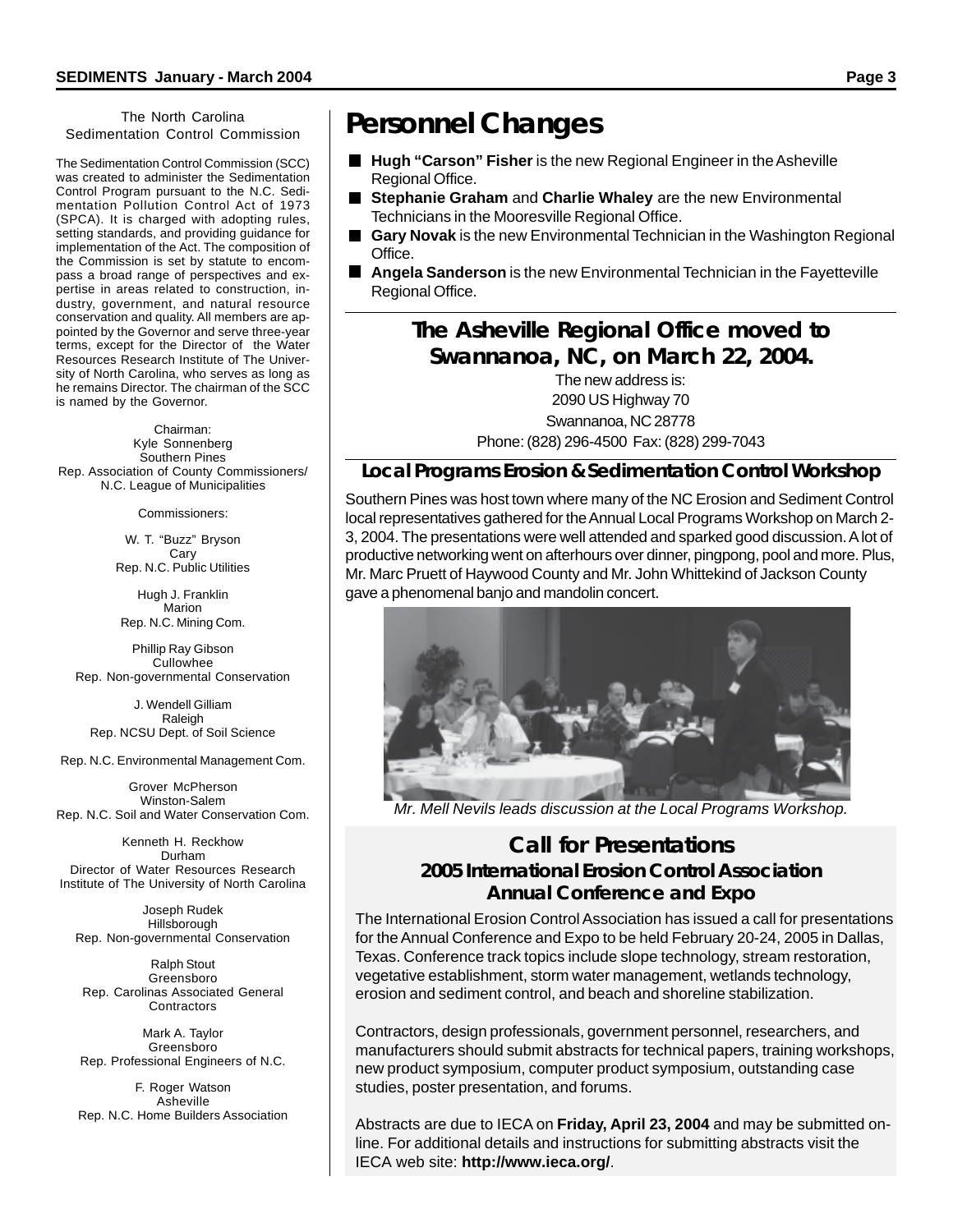#### The North Carolina Sedimentation Control Commission

The Sedimentation Control Commission (SCC) was created to administer the Sedimentation Control Program pursuant to the N.C. Sedimentation Pollution Control Act of 1973 (SPCA). It is charged with adopting rules, setting standards, and providing guidance for implementation of the Act. The composition of the Commission is set by statute to encompass a broad range of perspectives and expertise in areas related to construction, industry, government, and natural resource conservation and quality. All members are appointed by the Governor and serve three-year terms, except for the Director of the Water Resources Research Institute of The University of North Carolina, who serves as long as he remains Director. The chairman of the SCC is named by the Governor.

Chairman: Kyle Sonnenberg Southern Pines Rep. Association of County Commissioners/ N.C. League of Municipalities

Commissioners:

W. T. "Buzz" Bryson **Carv** Rep. N.C. Public Utilities

Hugh J. Franklin Marion Rep. N.C. Mining Com.

Phillip Ray Gibson Cullowhee Rep. Non-governmental Conservation

J. Wendell Gilliam Raleigh Rep. NCSU Dept. of Soil Science

Rep. N.C. Environmental Management Com.

Grover McPherson Winston-Salem Rep. N.C. Soil and Water Conservation Com.

Kenneth H. Reckhow Durham Director of Water Resources Research Institute of The University of North Carolina

Joseph Rudek Hillsborough Rep. Non-governmental Conservation

Ralph Stout Greensboro Rep. Carolinas Associated General **Contractors** 

Mark A. Taylor Greensboro Rep. Professional Engineers of N.C.

F. Roger Watson Asheville Rep. N.C. Home Builders Association

# **Personnel Changes**

- Hugh "Carson" Fisher is the new Regional Engineer in the Asheville Regional Office.
- **Stephanie Graham** and **Charlie Whaley** are the new Environmental Technicians in the Mooresville Regional Office.
- **Gary Novak** is the new Environmental Technician in the Washington Regional Office.
- **Angela Sanderson** is the new Environmental Technician in the Fayetteville Regional Office.

## **The Asheville Regional Office moved to Swannanoa, NC, on March 22, 2004.**

The new address is: 2090 US Highway 70 Swannanoa, NC 28778 Phone: (828) 296-4500 Fax: (828) 299-7043

#### **Local Programs Erosion & Sedimentation Control Workshop**

Southern Pines was host town where many of the NC Erosion and Sediment Control local representatives gathered for the Annual Local Programs Workshop on March 2- 3, 2004. The presentations were well attended and sparked good discussion. A lot of productive networking went on afterhours over dinner, pingpong, pool and more. Plus, Mr. Marc Pruett of Haywood County and Mr. John Whittekind of Jackson County gave a phenomenal banjo and mandolin concert.



*Mr. Mell Nevils leads discussion at the Local Programs Workshop.*

#### **Call for Presentations 2005 International Erosion Control Association Annual Conference and Expo**

The International Erosion Control Association has issued a call for presentations for the Annual Conference and Expo to be held February 20-24, 2005 in Dallas, Texas. Conference track topics include slope technology, stream restoration, vegetative establishment, storm water management, wetlands technology, erosion and sediment control, and beach and shoreline stabilization.

Contractors, design professionals, government personnel, researchers, and manufacturers should submit abstracts for technical papers, training workshops, new product symposium, computer product symposium, outstanding case studies, poster presentation, and forums.

Abstracts are due to IECA on **Friday, April 23, 2004** and may be submitted online. For additional details and instructions for submitting abstracts visit the IECA web site: **http://www.ieca.org/**.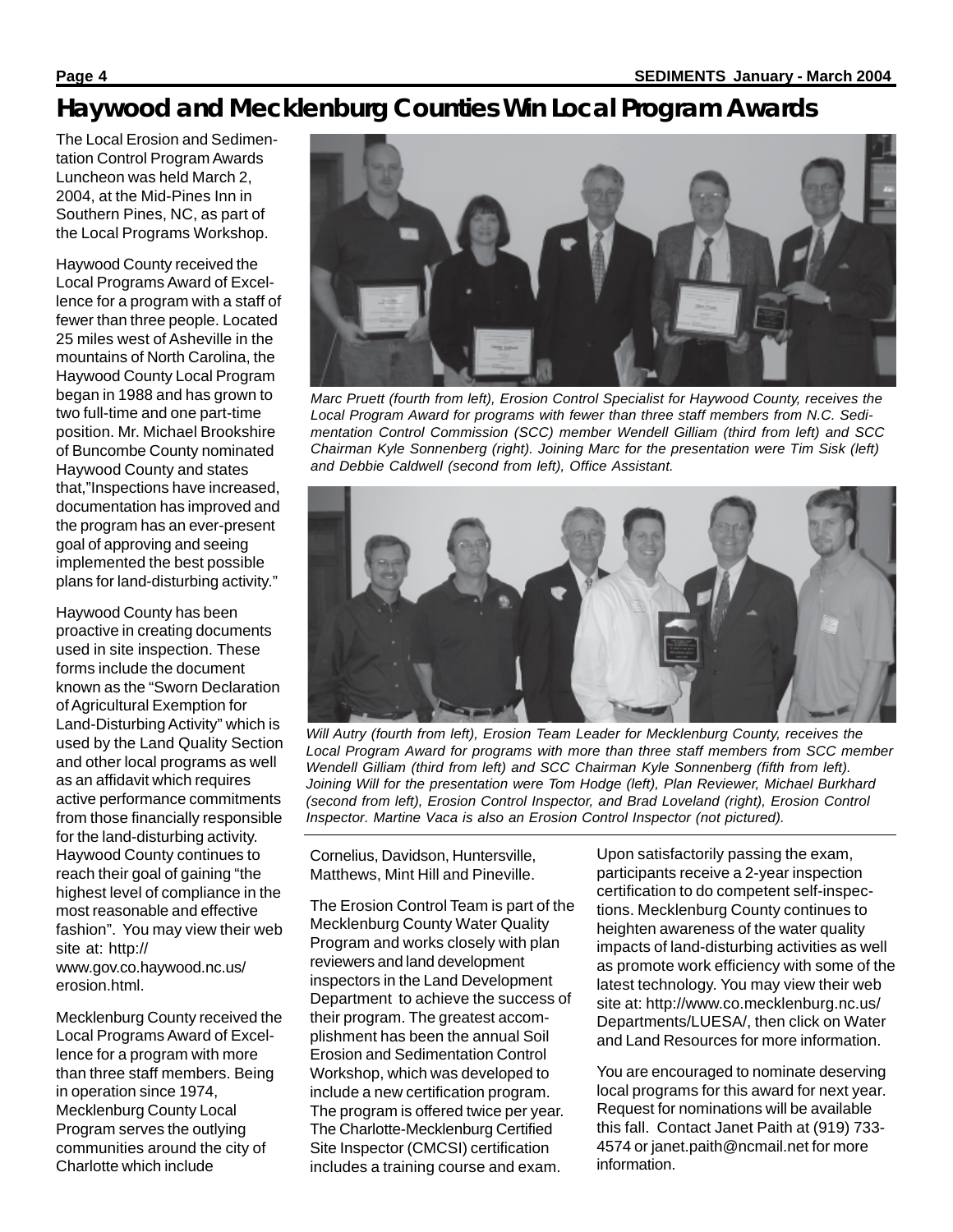# **Haywood and Mecklenburg Counties Win Local Program Awards**

The Local Erosion and Sedimentation Control Program Awards Luncheon was held March 2, 2004, at the Mid-Pines Inn in Southern Pines, NC, as part of the Local Programs Workshop.

Haywood County received the Local Programs Award of Excellence for a program with a staff of fewer than three people. Located 25 miles west of Asheville in the mountains of North Carolina, the Haywood County Local Program began in 1988 and has grown to two full-time and one part-time position. Mr. Michael Brookshire of Buncombe County nominated Haywood County and states that,"Inspections have increased, documentation has improved and the program has an ever-present goal of approving and seeing implemented the best possible plans for land-disturbing activity."

Haywood County has been proactive in creating documents used in site inspection. These forms include the document known as the "Sworn Declaration of Agricultural Exemption for Land-Disturbing Activity" which is used by the Land Quality Section and other local programs as well as an affidavit which requires active performance commitments from those financially responsible for the land-disturbing activity. Haywood County continues to reach their goal of gaining "the highest level of compliance in the most reasonable and effective fashion". You may view their web site at: http:// www.gov.co.haywood.nc.us/ erosion.html.

Mecklenburg County received the Local Programs Award of Excellence for a program with more than three staff members. Being in operation since 1974, Mecklenburg County Local Program serves the outlying communities around the city of Charlotte which include



*Marc Pruett (fourth from left), Erosion Control Specialist for Haywood County, receives the Local Program Award for programs with fewer than three staff members from N.C. Sedimentation Control Commission (SCC) member Wendell Gilliam (third from left) and SCC Chairman Kyle Sonnenberg (right). Joining Marc for the presentation were Tim Sisk (left) and Debbie Caldwell (second from left), Office Assistant.*



*Will Autry (fourth from left), Erosion Team Leader for Mecklenburg County, receives the Local Program Award for programs with more than three staff members from SCC member Wendell Gilliam (third from left) and SCC Chairman Kyle Sonnenberg (fifth from left). Joining Will for the presentation were Tom Hodge (left), Plan Reviewer, Michael Burkhard (second from left), Erosion Control Inspector, and Brad Loveland (right), Erosion Control Inspector. Martine Vaca is also an Erosion Control Inspector (not pictured).*

Cornelius, Davidson, Huntersville, Matthews, Mint Hill and Pineville.

The Erosion Control Team is part of the Mecklenburg County Water Quality Program and works closely with plan reviewers and land development inspectors in the Land Development Department to achieve the success of their program. The greatest accomplishment has been the annual Soil Erosion and Sedimentation Control Workshop, which was developed to include a new certification program. The program is offered twice per year. The Charlotte-Mecklenburg Certified Site Inspector (CMCSI) certification includes a training course and exam.

Upon satisfactorily passing the exam, participants receive a 2-year inspection certification to do competent self-inspections. Mecklenburg County continues to heighten awareness of the water quality impacts of land-disturbing activities as well as promote work efficiency with some of the latest technology. You may view their web site at: http://www.co.mecklenburg.nc.us/ Departments/LUESA/, then click on Water and Land Resources for more information.

You are encouraged to nominate deserving local programs for this award for next year. Request for nominations will be available this fall. Contact Janet Paith at (919) 733- 4574 or janet.paith@ncmail.net for more information.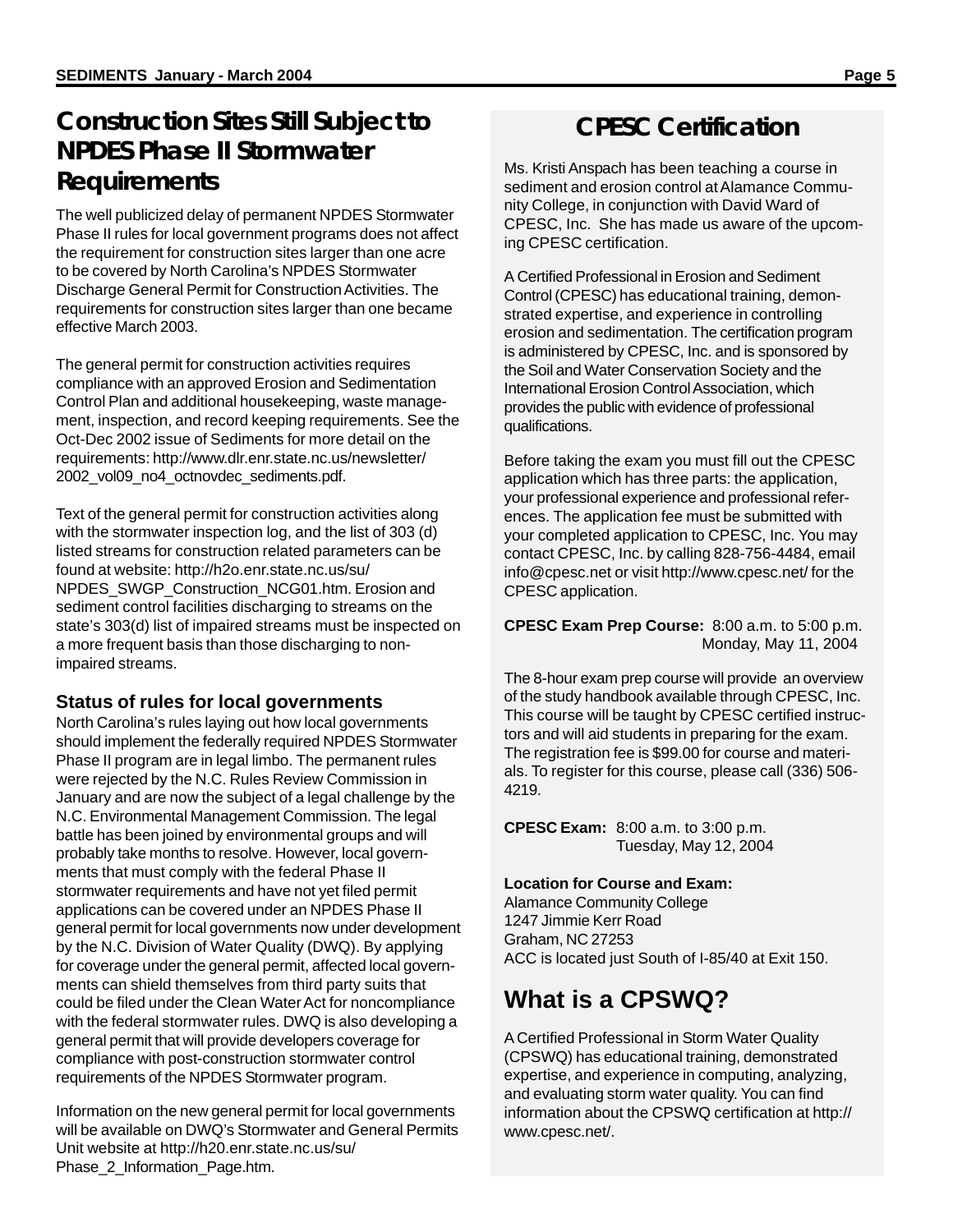## **Construction Sites Still Subject to NPDES Phase II Stormwater Requirements**

The well publicized delay of permanent NPDES Stormwater Phase II rules for local government programs does not affect the requirement for construction sites larger than one acre to be covered by North Carolina's NPDES Stormwater Discharge General Permit for Construction Activities. The requirements for construction sites larger than one became effective March 2003.

The general permit for construction activities requires compliance with an approved Erosion and Sedimentation Control Plan and additional housekeeping, waste management, inspection, and record keeping requirements. See the Oct-Dec 2002 issue of Sediments for more detail on the requirements: http://www.dlr.enr.state.nc.us/newsletter/ 2002\_vol09\_no4\_octnovdec\_sediments.pdf.

Text of the general permit for construction activities along with the stormwater inspection log, and the list of 303 (d) listed streams for construction related parameters can be found at website: http://h2o.enr.state.nc.us/su/ NPDES\_SWGP\_Construction\_NCG01.htm. Erosion and sediment control facilities discharging to streams on the state's 303(d) list of impaired streams must be inspected on a more frequent basis than those discharging to nonimpaired streams.

### **Status of rules for local governments**

North Carolina's rules laying out how local governments should implement the federally required NPDES Stormwater Phase II program are in legal limbo. The permanent rules were rejected by the N.C. Rules Review Commission in January and are now the subject of a legal challenge by the N.C. Environmental Management Commission. The legal battle has been joined by environmental groups and will probably take months to resolve. However, local governments that must comply with the federal Phase II stormwater requirements and have not yet filed permit applications can be covered under an NPDES Phase II general permit for local governments now under development by the N.C. Division of Water Quality (DWQ). By applying for coverage under the general permit, affected local governments can shield themselves from third party suits that could be filed under the Clean Water Act for noncompliance with the federal stormwater rules. DWQ is also developing a general permit that will provide developers coverage for compliance with post-construction stormwater control requirements of the NPDES Stormwater program.

Information on the new general permit for local governments will be available on DWQ's Stormwater and General Permits Unit website at http://h20.enr.state.nc.us/su/ Phase 2 Information Page.htm.

# **CPESC Certification**

Ms. Kristi Anspach has been teaching a course in sediment and erosion control at Alamance Community College, in conjunction with David Ward of CPESC, Inc. She has made us aware of the upcoming CPESC certification.

A Certified Professional in Erosion and Sediment Control (CPESC) has educational training, demonstrated expertise, and experience in controlling erosion and sedimentation. The certification program is administered by CPESC, Inc. and is sponsored by the Soil and Water Conservation Society and the International Erosion Control Association, which provides the public with evidence of professional qualifications.

Before taking the exam you must fill out the CPESC application which has three parts: the application, your professional experience and professional references. The application fee must be submitted with your completed application to CPESC, Inc. You may contact CPESC, Inc. by calling 828-756-4484, email info@cpesc.net or visit http://www.cpesc.net/ for the CPESC application.

**CPESC Exam Prep Course:** 8:00 a.m. to 5:00 p.m. Monday, May 11, 2004

The 8-hour exam prep course will provide an overview of the study handbook available through CPESC, Inc. This course will be taught by CPESC certified instructors and will aid students in preparing for the exam. The registration fee is \$99.00 for course and materials. To register for this course, please call (336) 506- 4219.

**CPESC Exam:** 8:00 a.m. to 3:00 p.m. Tuesday, May 12, 2004

#### **Location for Course and Exam:**

Alamance Community College 1247 Jimmie Kerr Road Graham, NC 27253 ACC is located just South of I-85/40 at Exit 150.

# **What is a CPSWQ?**

A Certified Professional in Storm Water Quality (CPSWQ) has educational training, demonstrated expertise, and experience in computing, analyzing, and evaluating storm water quality. You can find information about the CPSWQ certification at http:// www.cpesc.net/.